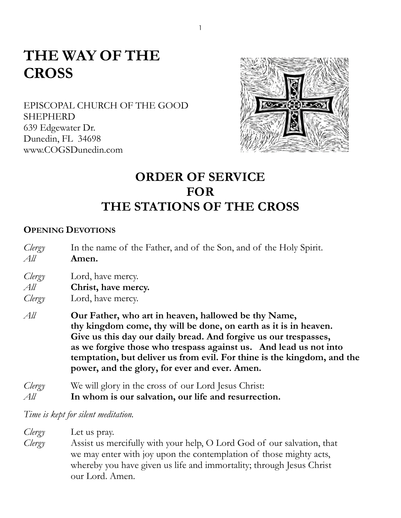# **THE WAY OF THE CROSS**

EPISCOPAL CHURCH OF THE GOOD SHEPHERD 639 Edgewater Dr. Dunedin, FL 34698 www.COGSDunedin.com



## **ORDER OF SERVICE FOR THE STATIONS OF THE CROSS**

#### **OPENING DEVOTIONS**

*Clergy* In the name of the Father, and of the Son, and of the Holy Spirit. *All* **Amen.**

*Clergy* Lord, have mercy.

*All* **Christ, have mercy.**

*Clergy* Lord, have mercy.

*All* **Our Father, who art in heaven, hallowed be thy Name, thy kingdom come, thy will be done, on earth as it is in heaven. Give us this day our daily bread. And forgive us our trespasses, as we forgive those who trespass against us. And lead us not into temptation, but deliver us from evil. For thine is the kingdom, and the power, and the glory, for ever and ever. Amen.**

*Clergy* We will glory in the cross of our Lord Jesus Christ: *All* **In whom is our salvation, our life and resurrection.**

*Time is kept for silent meditation.*

*Clergy* Let us pray.

*Clergy* Assist us mercifully with your help, O Lord God of our salvation, that we may enter with joy upon the contemplation of those mighty acts, whereby you have given us life and immortality; through Jesus Christ our Lord. Amen.

1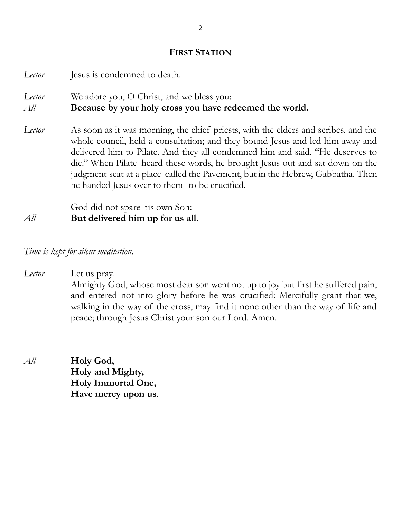#### **FIRST STATION**

*Lector* Jesus is condemned to death. *Lector* We adore you, O Christ, and we bless you: *All* **Because by your holy cross you have redeemed the world.** *Lector* As soon as it was morning, the chief priests, with the elders and scribes, and the whole council, held a consultation; and they bound Jesus and led him away and delivered him to Pilate. And they all condemned him and said, "He deserves to die." When Pilate heard these words, he brought Jesus out and sat down on the judgment seat at a place called the Pavement, but in the Hebrew, Gabbatha. Then he handed Jesus over to them to be crucified. God did not spare his own Son:

*All* **But delivered him up for us all.**

*Time is kept for silent meditation.*

*Lector* Let us pray.

Almighty God, whose most dear son went not up to joy but first he suffered pain, and entered not into glory before he was crucified: Mercifully grant that we, walking in the way of the cross, may find it none other than the way of life and peace; through Jesus Christ your son our Lord. Amen.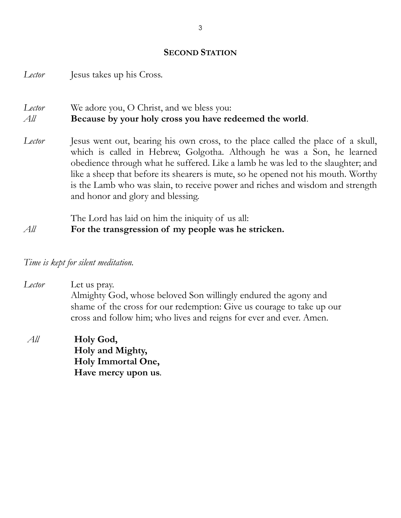#### **SECOND STATION**

*Lector* Jesus takes up his Cross.

## *Lector* We adore you, O Christ, and we bless you: *All* **Because by your holy cross you have redeemed the world**.

*Lector* Jesus went out, bearing his own cross, to the place called the place of a skull, which is called in Hebrew, Golgotha. Although he was a Son, he learned obedience through what he suffered. Like a lamb he was led to the slaughter; and like a sheep that before its shearers is mute, so he opened not his mouth. Worthy is the Lamb who was slain, to receive power and riches and wisdom and strength and honor and glory and blessing.

The Lord has laid on him the iniquity of us all:

*All* **For the transgression of my people was he stricken.**

*Time is kept for silent meditation.*

*Lector* Let us pray. Almighty God, whose beloved Son willingly endured the agony and shame of the cross for our redemption: Give us courage to take up our cross and follow him; who lives and reigns for ever and ever. Amen.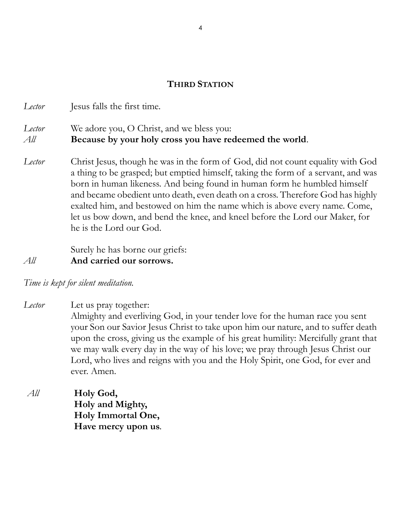## **THIRD STATION**

*Lector* Jesus falls the first time.

## *Lector* We adore you, O Christ, and we bless you:

- *All* **Because by your holy cross you have redeemed the world**.
- *Lector* Christ Jesus, though he was in the form of God, did not count equality with God a thing to be grasped; but emptied himself, taking the form of a servant, and was born in human likeness. And being found in human form he humbled himself and became obedient unto death, even death on a cross. Therefore God has highly exalted him, and bestowed on him the name which is above every name. Come, let us bow down, and bend the knee, and kneel before the Lord our Maker, for he is the Lord our God.

Surely he has borne our griefs: *All* **And carried our sorrows.**

*Time is kept for silent meditation.* 

- *Lector* Let us pray together: Almighty and everliving God, in your tender love for the human race you sent your Son our Savior Jesus Christ to take upon him our nature, and to suffer death upon the cross, giving us the example of his great humility: Mercifully grant that we may walk every day in the way of his love; we pray through Jesus Christ our Lord, who lives and reigns with you and the Holy Spirit, one God, for ever and ever. Amen.
- *All* **Holy God, Holy and Mighty, Holy Immortal One, Have mercy upon us.**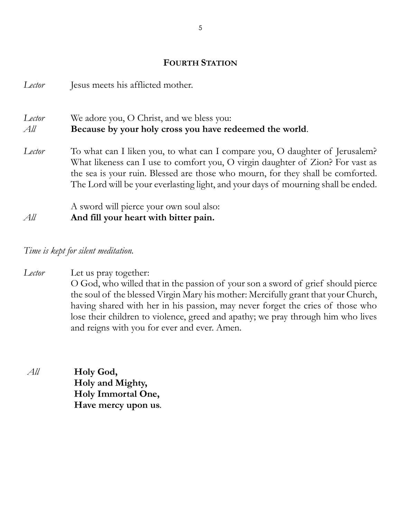## **FOURTH STATION**

| Lector        | Jesus meets his afflicted mother.                                                                                                                                                                                                                                                                                                       |
|---------------|-----------------------------------------------------------------------------------------------------------------------------------------------------------------------------------------------------------------------------------------------------------------------------------------------------------------------------------------|
| Lector<br>All | We adore you, O Christ, and we bless you:<br>Because by your holy cross you have redeemed the world.                                                                                                                                                                                                                                    |
| Lector        | To what can I liken you, to what can I compare you, O daughter of Jerusalem?<br>What likeness can I use to comfort you, O virgin daughter of Zion? For vast as<br>the sea is your ruin. Blessed are those who mourn, for they shall be comforted.<br>The Lord will be your everlasting light, and your days of mourning shall be ended. |
| All           | A sword will pierce your own soul also:<br>And fill your heart with bitter pain.                                                                                                                                                                                                                                                        |

*Time is kept for silent meditation.* 

*Lector* Let us pray together: O God, who willed that in the passion of your son a sword of grief should pierce the soul of the blessed Virgin Mary his mother: Mercifully grant that your Church, having shared with her in his passion, may never forget the cries of those who lose their children to violence, greed and apathy; we pray through him who lives and reigns with you for ever and ever. Amen.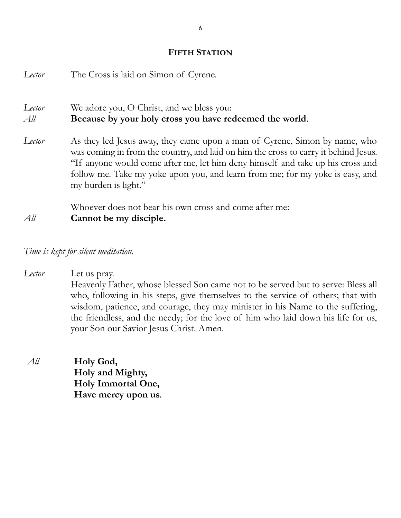#### **FIFTH STATION**

| Lector        | The Cross is laid on Simon of Cyrene.                                                                                                                                                                                                                                                                                                                        |
|---------------|--------------------------------------------------------------------------------------------------------------------------------------------------------------------------------------------------------------------------------------------------------------------------------------------------------------------------------------------------------------|
| Lector<br>All | We adore you, O Christ, and we bless you:<br>Because by your holy cross you have redeemed the world.                                                                                                                                                                                                                                                         |
| Lector        | As they led Jesus away, they came upon a man of Cyrene, Simon by name, who<br>was coming in from the country, and laid on him the cross to carry it behind Jesus.<br>"If anyone would come after me, let him deny himself and take up his cross and<br>follow me. Take my yoke upon you, and learn from me; for my yoke is easy, and<br>my burden is light." |
|               | Whoever does not bear his own cross and come after me:                                                                                                                                                                                                                                                                                                       |
| All           | Cannot be my disciple.                                                                                                                                                                                                                                                                                                                                       |

*Time is kept for silent meditation.*

*Lector* Let us pray.

Heavenly Father, whose blessed Son came not to be served but to serve: Bless all who, following in his steps, give themselves to the service of others; that with wisdom, patience, and courage, they may minister in his Name to the suffering, the friendless, and the needy; for the love of him who laid down his life for us, your Son our Savior Jesus Christ. Amen.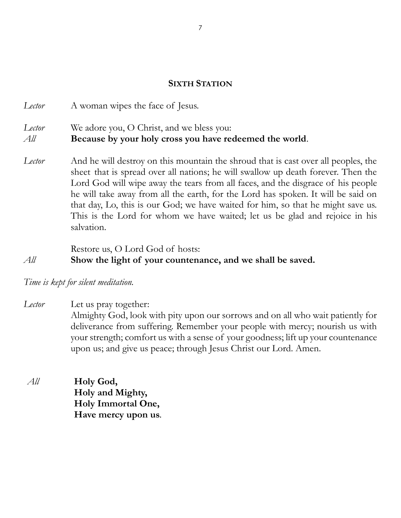## **SIXTH STATION**

*Lector* A woman wipes the face of Jesus. *Lector* We adore you, O Christ, and we bless you: *All* **Because by your holy cross you have redeemed the world**.

*Lector* And he will destroy on this mountain the shroud that is cast over all peoples, the sheet that is spread over all nations; he will swallow up death forever. Then the Lord God will wipe away the tears from all faces, and the disgrace of his people he will take away from all the earth, for the Lord has spoken. It will be said on that day, Lo, this is our God; we have waited for him, so that he might save us. This is the Lord for whom we have waited; let us be glad and rejoice in his salvation.

Restore us, O Lord God of hosts: *All* **Show the light of your countenance, and we shall be saved.**

*Time is kept for silent meditation.* 

*Lector* Let us pray together: Almighty God, look with pity upon our sorrows and on all who wait patiently for deliverance from suffering. Remember your people with mercy; nourish us with your strength; comfort us with a sense of your goodness; lift up your countenance upon us; and give us peace; through Jesus Christ our Lord. Amen.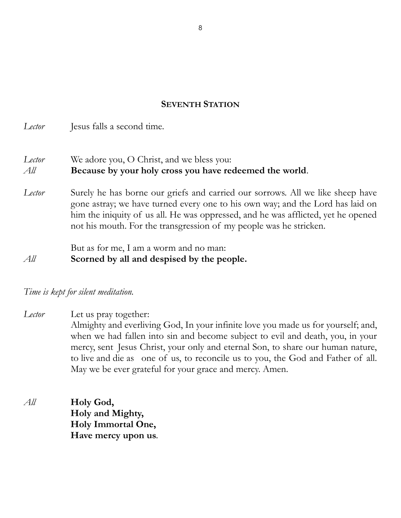#### **SEVENTH STATION**

*Lector* Jesus falls a second time. *Lector* We adore you, O Christ, and we bless you: *All* **Because by your holy cross you have redeemed the world**. *Lector* Surely he has borne our griefs and carried our sorrows. All we like sheep have gone astray; we have turned every one to his own way; and the Lord has laid on him the iniquity of us all. He was oppressed, and he was afflicted, yet he opened not his mouth. For the transgression of my people was he stricken. But as for me, I am a worm and no man: *All* **Scorned by all and despised by the people.**

## *Time is kept for silent meditation.*

*Lector* Let us pray together: Almighty and everliving God, In your infinite love you made us for yourself; and, when we had fallen into sin and become subject to evil and death, you, in your mercy, sent Jesus Christ, your only and eternal Son, to share our human nature, to live and die as one of us, to reconcile us to you, the God and Father of all. May we be ever grateful for your grace and mercy. Amen.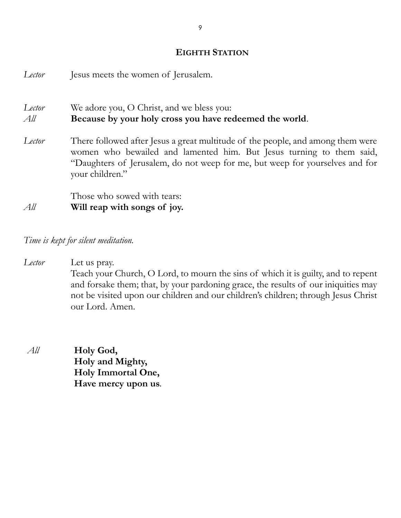#### **EIGHTH STATION**

| Lector        | Jesus meets the women of Jerusalem.                                                                                                                                                                                                                        |
|---------------|------------------------------------------------------------------------------------------------------------------------------------------------------------------------------------------------------------------------------------------------------------|
| Lector<br>All | We adore you, O Christ, and we bless you:<br>Because by your holy cross you have redeemed the world.                                                                                                                                                       |
| Lector        | There followed after Jesus a great multitude of the people, and among them were<br>women who bewailed and lamented him. But Jesus turning to them said,<br>"Daughters of Jerusalem, do not weep for me, but weep for yourselves and for<br>your children." |
| All           | Those who sowed with tears:<br>Will reap with songs of joy.                                                                                                                                                                                                |

*Time is kept for silent meditation.*

*Lector* Let us pray. Teach your Church, O Lord, to mourn the sins of which it is guilty, and to repent and forsake them; that, by your pardoning grace, the results of our iniquities may not be visited upon our children and our children's children; through Jesus Christ our Lord. Amen.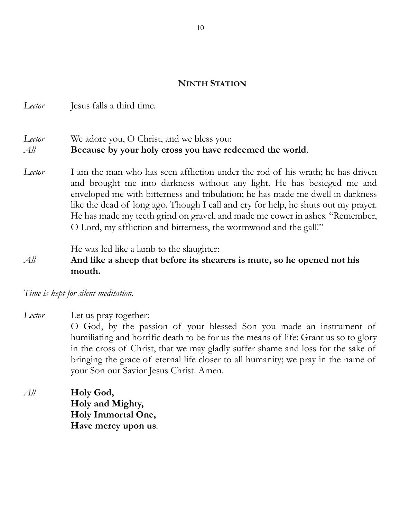## **NINTH STATION**

*Lector* Jesus falls a third time.

## *Lector* We adore you, O Christ, and we bless you: *All* **Because by your holy cross you have redeemed the world**.

*Lector* I am the man who has seen affliction under the rod of his wrath; he has driven and brought me into darkness without any light. He has besieged me and enveloped me with bitterness and tribulation; he has made me dwell in darkness like the dead of long ago. Though I call and cry for help, he shuts out my prayer. He has made my teeth grind on gravel, and made me cower in ashes. "Remember, O Lord, my affliction and bitterness, the wormwood and the gall!"

#### He was led like a lamb to the slaughter:

## *All* **And like a sheep that before its shearers is mute, so he opened not his mouth.**

*Time is kept for silent meditation.* 

- *Lector* Let us pray together: O God, by the passion of your blessed Son you made an instrument of humiliating and horrific death to be for us the means of life: Grant us so to glory in the cross of Christ, that we may gladly suffer shame and loss for the sake of bringing the grace of eternal life closer to all humanity; we pray in the name of your Son our Savior Jesus Christ. Amen.
- *All* **Holy God, Holy and Mighty, Holy Immortal One, Have mercy upon us.**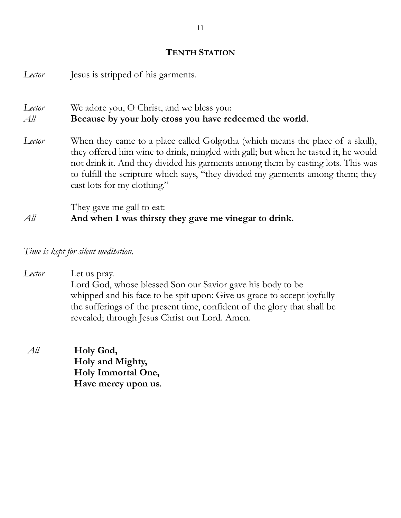## **TENTH STATION**

| Lector        | Jesus is stripped of his garments.                                                                                                                                                                                                                                                                                                                                        |
|---------------|---------------------------------------------------------------------------------------------------------------------------------------------------------------------------------------------------------------------------------------------------------------------------------------------------------------------------------------------------------------------------|
| Lector<br>All | We adore you, O Christ, and we bless you:<br>Because by your holy cross you have redeemed the world.                                                                                                                                                                                                                                                                      |
| Lector        | When they came to a place called Golgotha (which means the place of a skull),<br>they offered him wine to drink, mingled with gall; but when he tasted it, he would<br>not drink it. And they divided his garments among them by casting lots. This was<br>to fulfill the scripture which says, "they divided my garments among them; they<br>cast lots for my clothing." |
| All           | They gave me gall to eat:<br>And when I was thirsty they gave me vinegar to drink.                                                                                                                                                                                                                                                                                        |

*Time is kept for silent meditation.*

*Lector* Let us pray. Lord God, whose blessed Son our Savior gave his body to be whipped and his face to be spit upon: Give us grace to accept joyfully the sufferings of the present time, confident of the glory that shall be revealed; through Jesus Christ our Lord. Amen.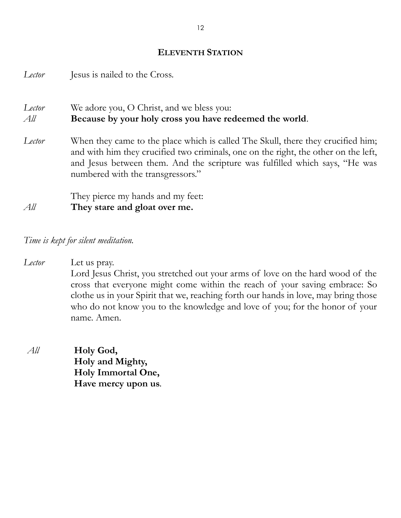#### **ELEVENTH STATION**

*Lector* Jesus is nailed to the Cross.

*Lector* We adore you, O Christ, and we bless you: *All* **Because by your holy cross you have redeemed the world**.

*Lector* When they came to the place which is called The Skull, there they crucified him; and with him they crucified two criminals, one on the right, the other on the left, and Jesus between them. And the scripture was fulfilled which says, "He was numbered with the transgressors."

They pierce my hands and my feet: *All* **They stare and gloat over me.**

*Time is kept for silent meditation.*

- *Lector* Let us pray. Lord Jesus Christ, you stretched out your arms of love on the hard wood of the cross that everyone might come within the reach of your saving embrace: So clothe us in your Spirit that we, reaching forth our hands in love, may bring those who do not know you to the knowledge and love of you; for the honor of your name. Amen.
- *All* **Holy God, Holy and Mighty, Holy Immortal One, Have mercy upon us.**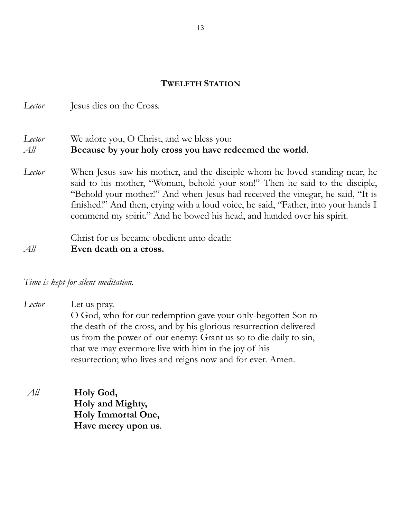## **TWELFTH STATION**

*Lector* Jesus dies on the Cross.

## *Lector* We adore you, O Christ, and we bless you: *All* **Because by your holy cross you have redeemed the world**.

*Lector* When Jesus saw his mother, and the disciple whom he loved standing near, he said to his mother, "Woman, behold your son!" Then he said to the disciple, "Behold your mother!" And when Jesus had received the vinegar, he said, "It is finished!" And then, crying with a loud voice, he said, "Father, into your hands I commend my spirit." And he bowed his head, and handed over his spirit.

Christ for us became obedient unto death: *All* **Even death on a cross.**

*Time is kept for silent meditation.*

*Lector* Let us pray. O God, who for our redemption gave your only-begotten Son to the death of the cross, and by his glorious resurrection delivered us from the power of our enemy: Grant us so to die daily to sin, that we may evermore live with him in the joy of his resurrection; who lives and reigns now and for ever. Amen.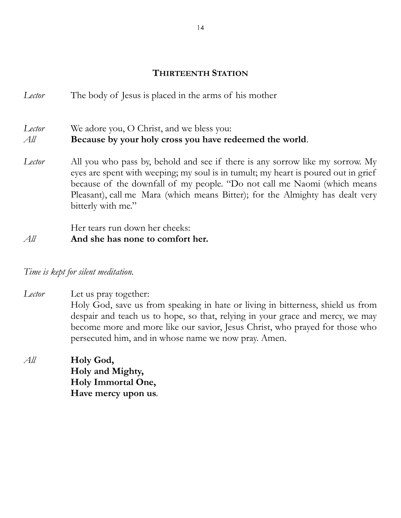## **THIRTEENTH STATION**

*Lector* The body of Jesus is placed in the arms of his mother

*Lector* We adore you, O Christ, and we bless you: *All* **Because by your holy cross you have redeemed the world**.

*Lector* All you who pass by, behold and see if there is any sorrow like my sorrow. My eyes are spent with weeping; my soul is in tumult; my heart is poured out in grief because of the downfall of my people. "Do not call me Naomi (which means Pleasant), call me Mara (which means Bitter); for the Almighty has dealt very bitterly with me."

Her tears run down her cheeks:

## *All* **And she has none to comfort her.**

## *Time is kept for silent meditation.*

*Lector* Let us pray together: Holy God, save us from speaking in hate or living in bitterness, shield us from despair and teach us to hope, so that, relying in your grace and mercy, we may become more and more like our savior, Jesus Christ, who prayed for those who persecuted him, and in whose name we now pray. Amen.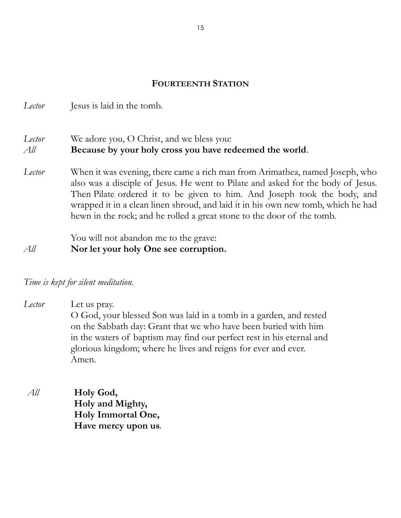## **FOURTEENTH STATION**

*Lector* Jesus is laid in the tomb.

## *Lector* We adore you, O Christ, and we bless you: *All* **Because by your holy cross you have redeemed the world**.

*Lector* When it was evening, there came a rich man from Arimathea, named Joseph, who also was a disciple of Jesus. He went to Pilate and asked for the body of Jesus. Then Pilate ordered it to be given to him. And Joseph took the body, and wrapped it in a clean linen shroud, and laid it in his own new tomb, which he had hewn in the rock; and he rolled a great stone to the door of the tomb.

You will not abandon me to the grave: *All* **Nor let your holy One see corruption.**

*Time is kept for silent meditation.*

*Lector* Let us pray. O God, your blessed Son was laid in a tomb in a garden, and rested on the Sabbath day: Grant that we who have been buried with him in the waters of baptism may find our perfect rest in his eternal and glorious kingdom; where he lives and reigns for ever and ever. Amen.